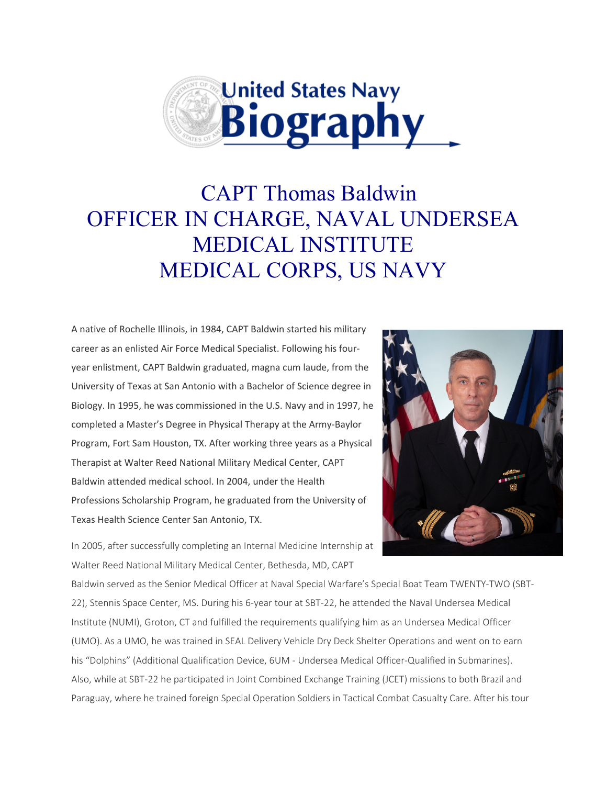

## CAPT Thomas Baldwin OFFICER IN CHARGE, NAVAL UNDERSEA MEDICAL INSTITUTE MEDICAL CORPS, US NAVY

A native of Rochelle Illinois, in 1984, CAPT Baldwin started his military career as an enlisted Air Force Medical Specialist. Following his fouryear enlistment, CAPT Baldwin graduated, magna cum laude, from the University of Texas at San Antonio with a Bachelor of Science degree in Biology. In 1995, he was commissioned in the U.S. Navy and in 1997, he completed a Master's Degree in Physical Therapy at the Army-Baylor Program, Fort Sam Houston, TX. After working three years as a Physical Therapist at Walter Reed National Military Medical Center, CAPT Baldwin attended medical school. In 2004, under the Health Professions Scholarship Program, he graduated from the University of Texas Health Science Center San Antonio, TX.



In 2005, after successfully completing an Internal Medicine Internship at Walter Reed National Military Medical Center, Bethesda, MD, CAPT

Baldwin served as the Senior Medical Officer at Naval Special Warfare's Special Boat Team TWENTY-TWO (SBT-22), Stennis Space Center, MS. During his 6-year tour at SBT-22, he attended the Naval Undersea Medical Institute (NUMI), Groton, CT and fulfilled the requirements qualifying him as an Undersea Medical Officer (UMO). As a UMO, he was trained in SEAL Delivery Vehicle Dry Deck Shelter Operations and went on to earn his "Dolphins" (Additional Qualification Device, 6UM - Undersea Medical Officer-Qualified in Submarines). Also, while at SBT-22 he participated in Joint Combined Exchange Training (JCET) missions to both Brazil and Paraguay, where he trained foreign Special Operation Soldiers in Tactical Combat Casualty Care. After his tour